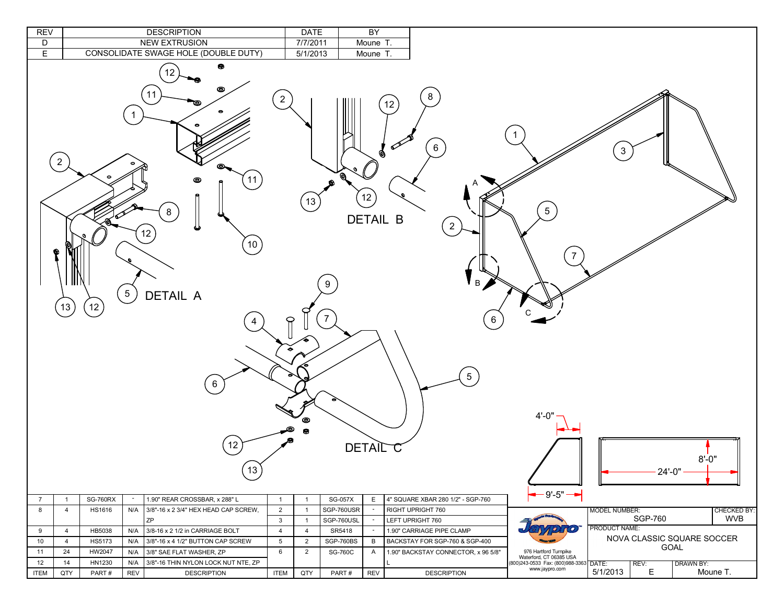| <b>REV</b>     |                           |                 | <b>DESCRIPTION</b>                                                                                                                                                                               |                            | <b>DATE</b>          |                          | BY                                    |                                                                                         |                                                  |                      |                |                                    |
|----------------|---------------------------|-----------------|--------------------------------------------------------------------------------------------------------------------------------------------------------------------------------------------------|----------------------------|----------------------|--------------------------|---------------------------------------|-----------------------------------------------------------------------------------------|--------------------------------------------------|----------------------|----------------|------------------------------------|
| D              |                           |                 | <b>NEW EXTRUSION</b>                                                                                                                                                                             |                            | 7/7/2011             |                          | Moune T.                              |                                                                                         |                                                  |                      |                |                                    |
| E.             |                           |                 | CONSOLIDATE SWAGE HOLE (DOUBLE DUTY)                                                                                                                                                             |                            | 5/1/2013             |                          | Moune T.                              |                                                                                         |                                                  |                      |                |                                    |
|                | $\overline{2}$<br>Q<br>13 | 12              | ۰<br>12<br>©<br>$\begin{array}{c} \boxed{11} \end{array}$<br>$\mathbf{1}$<br>11<br>◉<br>8<br>12<br>(10)<br>$5\phantom{.0}$<br><b>DETAIL A</b><br>4<br>6<br>12<br>$\left\lfloor 13 \right\rfloor$ | $\overline{2}$<br>$\Theta$ | 13<br>◉<br>$\bullet$ | ◉<br>9<br>$\overline{7}$ | Ø<br>12)<br>DETAIL B<br><b>DETAIL</b> | $8\phantom{.}$<br>12<br>$6\phantom{.}6$<br>$2 \frac{1}{2}$<br>B<br>6<br>$\sqrt{5}$<br>Ü | $5\phantom{.0}$<br>$4' - 0'$                     | 3                    | $24' - 0''$    | $8' - 0''$                         |
| $\overline{7}$ | $\overline{1}$            | <b>SG-760RX</b> | 1.90" REAR CROSSBAR, x 288" L<br>$\sim$                                                                                                                                                          | $\mathbf{1}$               | $\overline{1}$       | <b>SG-057X</b>           | E                                     | 4" SQUARE XBAR 280 1/2" - SGP-760                                                       | $-9' - 5" -$                                     |                      |                |                                    |
| 8              | $\overline{4}$            | HS1616          | N/A<br>3/8"-16 x 2 3/4" HEX HEAD CAP SCREW,                                                                                                                                                      | $\overline{2}$             | $\overline{1}$       | SGP-760USR               | $\sim$                                | RIGHT UPRIGHT 760                                                                       |                                                  | <b>MODEL NUMBER:</b> |                | <b>CHECKED BY:</b>                 |
|                |                           |                 | ZP                                                                                                                                                                                               | $\mathbf{3}$               | $\overline{1}$       | SGP-760USL               | $\sim$                                | LEFT UPRIGHT 760                                                                        |                                                  |                      | <b>SGP-760</b> | <b>WVB</b>                         |
| 9              | $\overline{4}$            | HB5038          | N/A<br>3/8-16 x 2 1/2 in CARRIAGE BOLT                                                                                                                                                           | $\overline{4}$             | $\overline{4}$       | SR5418                   | $\sim$                                | 1.90" CARRIAGE PIPE CLAMP                                                               | 1910                                             | PRODUCT NAME:        |                |                                    |
| 10             | $\overline{4}$            | HS5173          | N/A<br>3/8"-16 x 4 1/2" BUTTON CAP SCREW                                                                                                                                                         | 5                          | 2                    | SGP-760BS                | B                                     | BACKSTAY FOR SGP-760 & SGP-400                                                          |                                                  |                      |                | NOVA CLASSIC SQUARE SOCCER<br>GOAL |
| 11             | 24                        | HW2047          | 3/8" SAE FLAT WASHER, ZP<br>N/A                                                                                                                                                                  | 6                          | $\overline{2}$       | <b>SG-760C</b>           | $\overline{A}$                        | 1.90" BACKSTAY CONNECTOR, x 96 5/8"                                                     | 976 Hartford Turnpike<br>Waterford, CT 06385 USA |                      |                |                                    |
| 12             | 14                        | HN1230          | 3/8"-16 THIN NYLON LOCK NUT NTE, ZP<br>N/A                                                                                                                                                       |                            |                      |                          |                                       |                                                                                         | (800) 243-0533 Fax: (800) 988-3363 DATE:         |                      | REV:           | DRAWN BY:                          |
| <b>ITEM</b>    | QTY                       | PART#           | <b>REV</b><br><b>DESCRIPTION</b>                                                                                                                                                                 | <b>ITEM</b>                | QTY                  | PART#                    | <b>REV</b>                            | <b>DESCRIPTION</b>                                                                      | www.jaypro.com                                   | 5/1/2013             | Е              | Moune T.                           |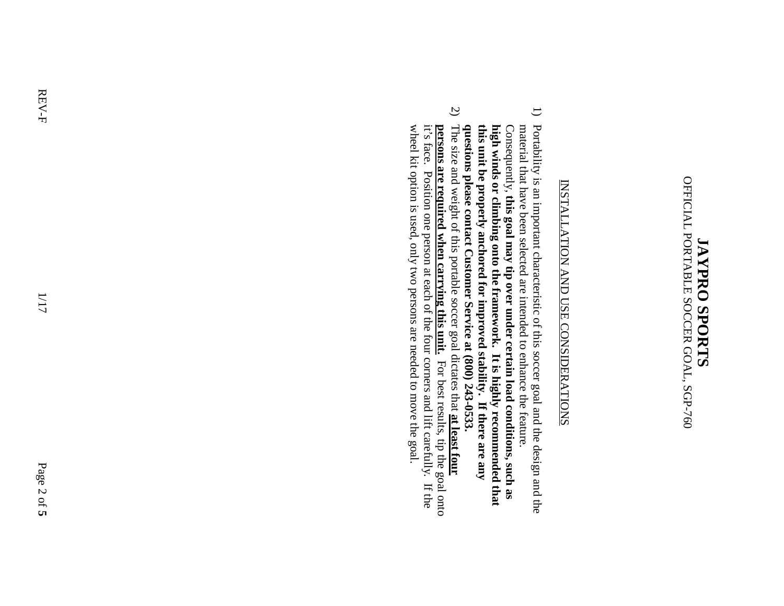## OFFICIAL PORTABLE SOCCER GOAL, SGP-760 OFFICIAL PORTABLE SOCCER GOAL, SGP-760 **JAYPRO SPORTS JAYPRO SPORTS**

## **INSTALLATION AND USE CONSIDERATIONS** INSTALLATION AND USE CONSIDERATIONS

- 1) Portability is an important characteristic of this soccer goal and the design and the this unit be properly anchored for improved stability. If there are any questions please contact Customer Service at  $(800)$  243-0533. Consequently, this goal may tip over under certain load conditions, such as high winds or climbing onto the framework. It is highly recommended that material that have been selected are intended to enhance the feature. **questions please contact Customer Service at (800) 243 this unit be properly anchored for improved stability. If there are any high winds or climbing onto the framework. It is highly recommended that**  Consequently, material that have been selected are intended to enhance the feature. Portability is an important characteristic of this soccer goal and the design and the **this goal may tip over under certain load conditions, such as**
- 2) The size and weight of this portable soccer goal dictates that at least four wheel kit option is used, only two persons are needed to move the goal. it's face. Position one person at each of the four corners and lift carefully. If the **Dersons are required when carrying this unit.** For best results, tip the goal onto wheel kit option is used, only two p it's face. Position one person at each of the four corners and lift carefully. If the **persons are required when carrying this unit.** For best results, tip the goal onto The size and weight of this portable soccer goal dictates that **at least four**  ersons are needed to move the goal.

1/17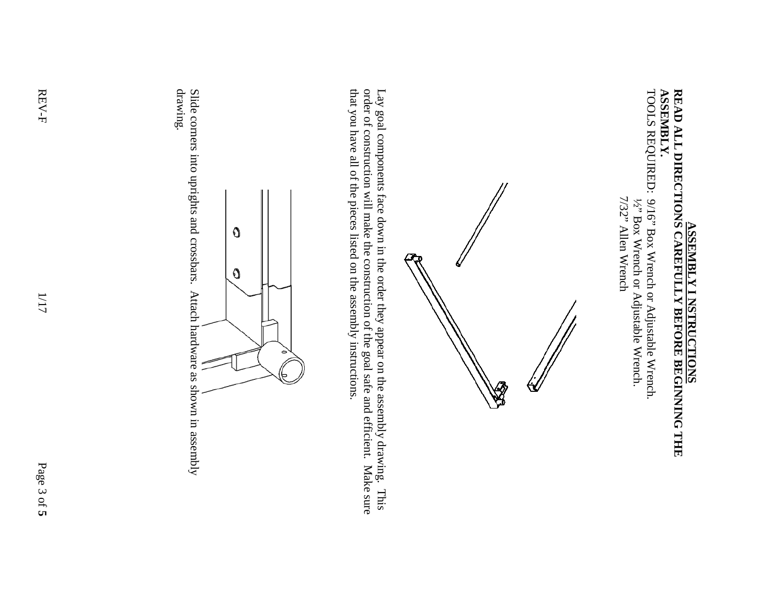## **READ ALL DIRECTIONS CAREFULLY BEFORE BEGINNING THE**<br>READ ALL DIRECTIONS CAREFULLY BEFORE BEGINNING THE **ASSEMBLY. ASSEMBLY. READ ALL DIRECTIONS CAREFULLY BEFORE BEGINNING THE ASSEMBLY I NSTRUCTIONS**

TOOLS REQUIRED: 9/16" Box Wrench or Adjustable Wrench. TOOLS REQUIRED: 9/16" Box Wrench or Adjustable Wrench. 7/32" Allen Wrench 7/32" Allen Wrench 1/2" Box Wrench or Adjustable Wrench. ½" Box Wrench or Adjustable Wrench.



Lay goal components face down in the order they appear on the assembly drawing. This order of construction will make the construction of the goal safe and efficient. Make sure that you have all of the pieces listed on the that you have all of the pieces listed on the assembly instructions. order of construction will make the construction of the goal safe and efficient. Make sure Lay goal components face down in the order they appear on the assembly drawing. This



Slide corners into uprights and crossbars. Attach hardware as shown in assembly drawing. Slide corners into uprights and crossbars. Attach hardware as shown in assembly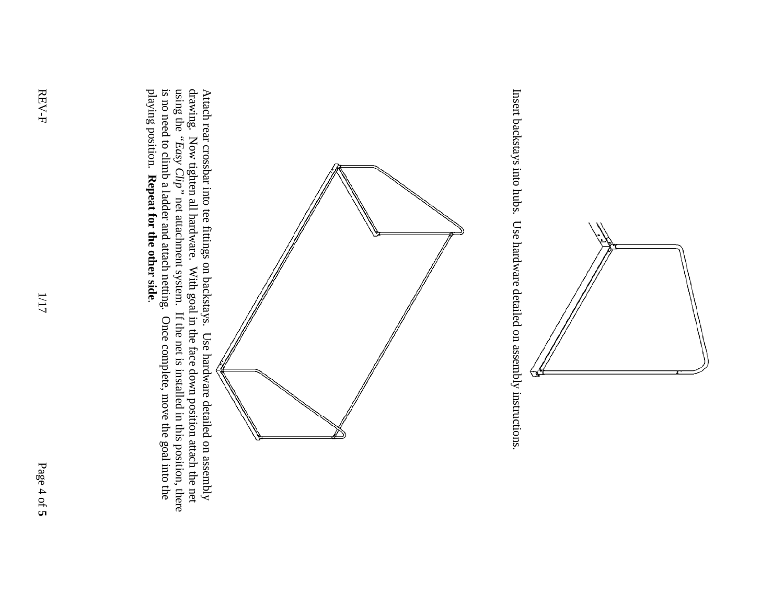

Insert backstays into hubs. Use hardware detailed on assembly instructions. Insert backstays into hubs. Use hardware detailed on assembly instructions.



Attach rear crossbar into tee fittings on backstays. Use hardware detailed on a ssembly using the drawing. Now tighten all hardware. With goal in the face down position attach the net *"Easy Clip"* net attachment system. If the net is installed in this position, there is no need to climb a ladder and attach netting. Once complete, move the goal into the playing position. **Repeat for the other side**.